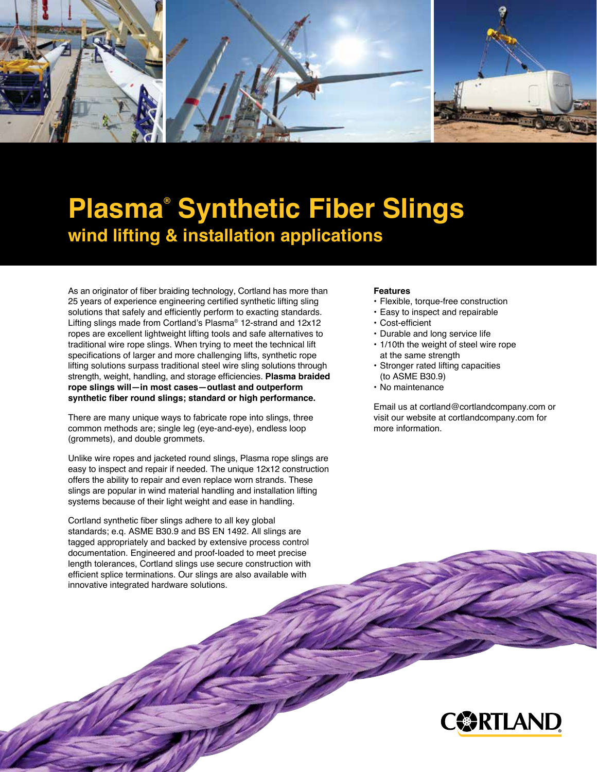

## **Plasma® Synthetic Fiber Slings wind lifting & installation applications**

As an originator of fiber braiding technology, Cortland has more than 25 years of experience engineering certified synthetic lifting sling solutions that safely and efficiently perform to exacting standards. Lifting slings made from Cortland's Plasma® 12-strand and 12x12 ropes are excellent lightweight lifting tools and safe alternatives to traditional wire rope slings. When trying to meet the technical lift specifications of larger and more challenging lifts, synthetic rope lifting solutions surpass traditional steel wire sling solutions through strength, weight, handling, and storage efficiencies. **Plasma braided rope slings will—in most cases—outlast and outperform synthetic fiber round slings; standard or high performance.**

There are many unique ways to fabricate rope into slings, three common methods are; single leg (eye-and-eye), endless loop (grommets), and double grommets.

Unlike wire ropes and jacketed round slings, Plasma rope slings are easy to inspect and repair if needed. The unique 12x12 construction offers the ability to repair and even replace worn strands. These slings are popular in wind material handling and installation lifting systems because of their light weight and ease in handling.

Cortland synthetic fiber slings adhere to all key global standards; e.q. ASME B30.9 and BS EN 1492. All slings are tagged appropriately and backed by extensive process control documentation. Engineered and proof-loaded to meet precise length tolerances, Cortland slings use secure construction with efficient splice terminations. Our slings are also available with innovative integrated hardware solutions.

## **Features**

- Flexible, torque-free construction
- Easy to inspect and repairable
- Cost-efficient
- Durable and long service life
- 1/10th the weight of steel wire rope at the same strength
- Stronger rated lifting capacities (to ASME B30.9)
- No maintenance

Email us at cortland@cortlandcompany.com or visit our website at cortlandcompany.com for more information.